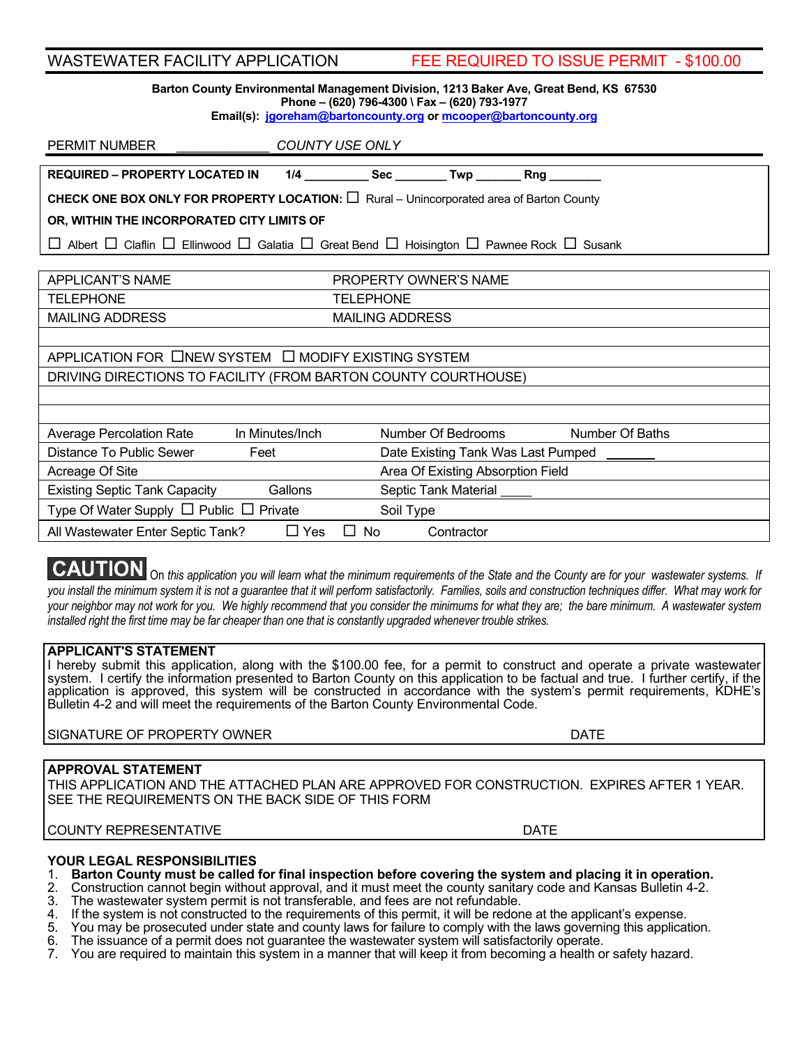| <b>WASTEWATER FACILITY APPLICATION</b>                                                                                                                                                                    | FEE REQUIRED TO ISSUE PERMIT - \$100.00    |
|-----------------------------------------------------------------------------------------------------------------------------------------------------------------------------------------------------------|--------------------------------------------|
| Barton County Environmental Management Division, 1213 Baker Ave, Great Bend, KS 67530<br>Phone - (620) 796-4300 \ Fax - (620) 793-1977<br>Email(s): jgoreham@bartoncounty.org or mcooper@bartoncounty.org |                                            |
| COUNTY USE ONLY<br>PERMIT NUMBER                                                                                                                                                                          |                                            |
| <b>REQUIRED - PROPERTY LOCATED IN</b>                                                                                                                                                                     |                                            |
| <b>CHECK ONE BOX ONLY FOR PROPERTY LOCATION:</b> $\Box$ Rural – Unincorporated area of Barton County                                                                                                      |                                            |
| OR, WITHIN THE INCORPORATED CITY LIMITS OF                                                                                                                                                                |                                            |
| $\Box$ Albert $\Box$ Claflin $\Box$ Ellinwood $\Box$ Galatia $\Box$ Great Bend $\Box$ Hoisington $\Box$ Pawnee Rock $\Box$ Susank                                                                         |                                            |
|                                                                                                                                                                                                           |                                            |
| <b>APPLICANT'S NAME</b>                                                                                                                                                                                   | PROPERTY OWNER'S NAME                      |
| <b>TELEPHONE</b>                                                                                                                                                                                          | <b>TELEPHONE</b>                           |
| <b>MAILING ADDRESS</b>                                                                                                                                                                                    | <b>MAILING ADDRESS</b>                     |
|                                                                                                                                                                                                           |                                            |
| APPLICATION FOR ONEW SYSTEM O MODIFY EXISTING SYSTEM                                                                                                                                                      |                                            |
| DRIVING DIRECTIONS TO FACILITY (FROM BARTON COUNTY COURTHOUSE)                                                                                                                                            |                                            |
|                                                                                                                                                                                                           |                                            |
| <b>Average Percolation Rate</b><br>In Minutes/Inch                                                                                                                                                        | Number Of Bedrooms<br>Number Of Baths      |
| Distance To Public Sewer<br>Feet                                                                                                                                                                          | Date Existing Tank Was Last Pumped _______ |
| Acreage Of Site                                                                                                                                                                                           | Area Of Existing Absorption Field          |
| Gallons<br><b>Existing Septic Tank Capacity</b>                                                                                                                                                           | Septic Tank Material _____                 |
| Type Of Water Supply $\Box$ Public $\Box$ Private<br>Soil Type                                                                                                                                            |                                            |
| $\Box$ Yes<br>$\square$ No<br>All Wastewater Enter Septic Tank?<br>Contractor                                                                                                                             |                                            |
|                                                                                                                                                                                                           |                                            |

**CAUTION** On this application you will learn what the minimum requirements of the State and the County are for your wastewater systems. If *you install the minimum system it is not a guarantee that it will perform satisfactorily. Families, soils and construction techniques differ. What may work for your neighbor may not work for you. We highly recommend that you consider the minimums for what they are; the bare minimum. A wastewater system installed right the first time may be far cheaper than one that is constantly upgraded whenever trouble strikes.*

## **APPLICANT'S STATEMENT**

I hereby submit this application, along with the \$100.00 fee, for a permit to construct and operate a private wastewater system. I certify the information presented to Barton County on this application to be factual and true. I further certify, if the application is approved, this system will be constructed in accordance with the system's permit requirements, KDHE's Bulletin 4-2 and will meet the requirements of the Barton County Environmental Code.

SIGNATURE OF PROPERTY OWNER **EXAMPLE 2008 THE SIGNATURE OF PROPERTY OWNER** 

## **APPROVAL STATEMENT**

THIS APPLICATION AND THE ATTACHED PLAN ARE APPROVED FOR CONSTRUCTION. EXPIRES AFTER 1 YEAR. SEE THE REQUIREMENTS ON THE BACK SIDE OF THIS FORM

COUNTY REPRESENTATIVE DATE

- **YOUR LEGAL RESPONSIBILITIES** 1. **Barton County must be called for final inspection before covering the system and placing it in operation.**
- 2. Construction cannot begin without approval, and it must meet the county sanitary code and Kansas Bulletin 4-2.
- 
- 3. The wastewater system permit is not transferable, and fees are not refundable.<br>4. If the system is not constructed to the requirements of this permit, it will be redon 4. If the system is not constructed to the requirements of this permit, it will be redone at the applicant's expense.<br>5. You may be prosecuted under state and county laws for failure to comply with the laws governing this
- 5. You may be prosecuted under state and county laws for failure to comply with the laws governing this application.
- 6. The issuance of a permit does not guarantee the wastewater system will satisfactorily operate.
- 7. You are required to maintain this system in a manner that will keep it from becoming a health or safety hazard.